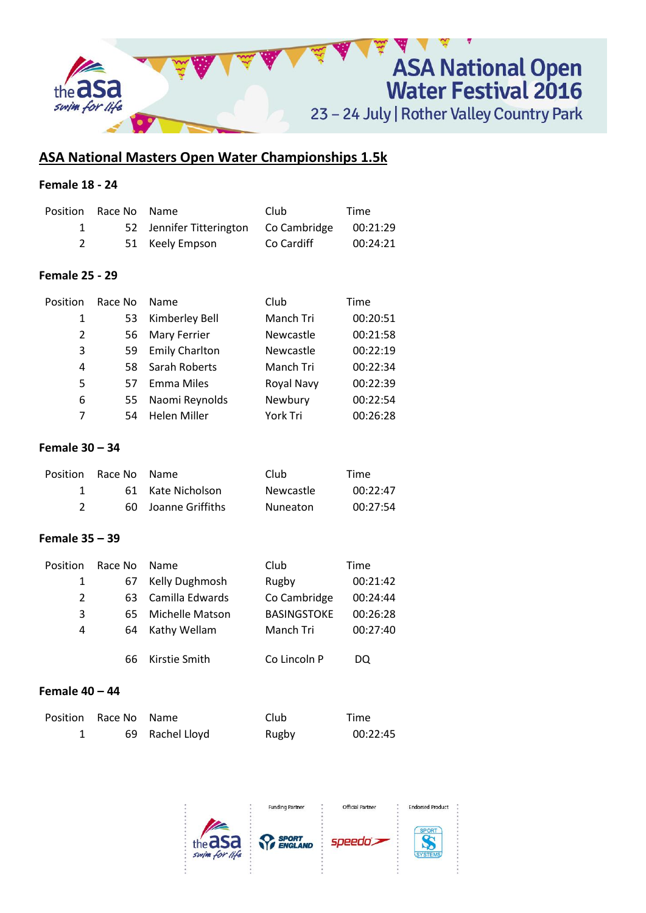

# **ASA National Masters Open Water Championships 1.5k**

# **Female 18 - 24**

| Position Race No Name |                                                | Club       | Time     |
|-----------------------|------------------------------------------------|------------|----------|
|                       | 52 Jennifer Titterington Co Cambridge 00:21:29 |            |          |
|                       | 51 Keely Empson                                | Co Cardiff | 00:24:21 |

#### **Female 25 - 29**

| Position | Race No | Name                  | Club       | Time     |
|----------|---------|-----------------------|------------|----------|
| 1        | 53      | Kimberley Bell        | Manch Tri  | 00:20:51 |
| 2        | 56      | Mary Ferrier          | Newcastle  | 00:21:58 |
| 3        | 59      | <b>Emily Charlton</b> | Newcastle  | 00:22:19 |
| 4        | 58      | Sarah Roberts         | Manch Tri  | 00:22:34 |
| 5        | 57.     | <b>Emma Miles</b>     | Royal Navy | 00:22:39 |
| 6        | 55      | Naomi Reynolds        | Newbury    | 00:22:54 |
| 7        | 54      | <b>Helen Miller</b>   | York Tri   | 00:26:28 |

#### **Female 30 – 34**

|                | Position Race No Name |                     | Club             | Time     |
|----------------|-----------------------|---------------------|------------------|----------|
|                |                       | 61 Kate Nicholson   | <b>Newcastle</b> | 00:22:47 |
| $\overline{2}$ |                       | 60 Joanne Griffiths | Nuneaton         | 00:27:54 |

## **Female 35 – 39**

| Position | Race No | <b>Name</b>     | Club               | Time     |
|----------|---------|-----------------|--------------------|----------|
| 1        | 67.     | Kelly Dughmosh  | Rugby              | 00:21:42 |
| 2        | 63      | Camilla Edwards | Co Cambridge       | 00:24:44 |
| 3        | 65.     | Michelle Matson | <b>BASINGSTOKE</b> | 00:26:28 |
| 4        | 64      | Kathy Wellam    | Manch Tri          | 00:27:40 |
|          |         |                 |                    |          |
|          | 66.     | Kirstie Smith   | Co Lincoln P       | DQ       |

## **Female 40 – 44**

| Position Race No Name |                 | Club  | Time     |
|-----------------------|-----------------|-------|----------|
|                       | 69 Rachel Lloyd | Rugby | 00:22:45 |

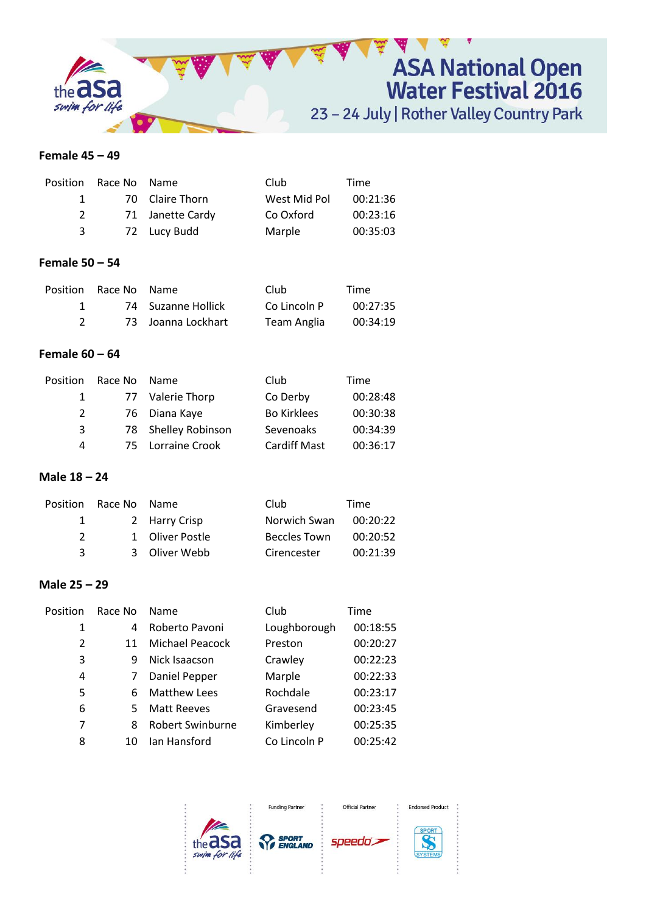

#### **Female 45 – 49**

|               | Position Race No Name |                  | Club         | Time     |
|---------------|-----------------------|------------------|--------------|----------|
|               |                       | 70 Claire Thorn  | West Mid Pol | 00:21:36 |
| $\mathcal{L}$ |                       | 71 Janette Cardy | Co Oxford    | 00:23:16 |
| 3             |                       | 72 Lucy Budd     | Marple       | 00:35:03 |

#### **Female 50 – 54**

| Position Race No Name |                    | Club         | Time     |
|-----------------------|--------------------|--------------|----------|
|                       | 74 Suzanne Hollick | Co Lincoln P | 00:27:35 |
|                       | 73 Joanna Lockhart | Team Anglia  | 00:34:19 |

# **Female 60 – 64**

| Position      | Race No | Name                | Club                | Time     |
|---------------|---------|---------------------|---------------------|----------|
| 1             |         | 77 Valerie Thorp    | Co Derby            | 00:28:48 |
| $\mathcal{P}$ |         | 76 Diana Kaye       | <b>Bo Kirklees</b>  | 00:30:38 |
| 3             |         | 78 Shelley Robinson | Sevenoaks           | 00:34:39 |
| 4             |         | 75 Lorraine Crook   | <b>Cardiff Mast</b> | 00:36:17 |

## **Male 18 – 24**

|               | Position Race No Name |                 | Club                | Time     |
|---------------|-----------------------|-----------------|---------------------|----------|
| 1             |                       | 2 Harry Crisp   | Norwich Swan        | 00:20:22 |
| $\mathcal{P}$ |                       | 1 Oliver Postle | <b>Beccles Town</b> | 00:20:52 |
| ર             |                       | 3 Oliver Webb   | Cirencester         | 00:21:39 |

## **Male 25 – 29**

| Position                | Race No | Name                | Club         | Time     |
|-------------------------|---------|---------------------|--------------|----------|
| 1                       | 4       | Roberto Pavoni      | Loughborough | 00:18:55 |
| $\overline{\mathbf{c}}$ | 11      | Michael Peacock     | Preston      | 00:20:27 |
| 3                       | q       | Nick Isaacson       | Crawley      | 00:22:23 |
| 4                       | 7       | Daniel Pepper       | Marple       | 00:22:33 |
| 5                       | 6       | <b>Matthew Lees</b> | Rochdale     | 00:23:17 |
| 6                       | 5.      | <b>Matt Reeves</b>  | Gravesend    | 00:23:45 |
| 7                       | 8       | Robert Swinburne    | Kimberley    | 00:25:35 |
| 8                       | 10      | lan Hansford        | Co Lincoln P | 00:25:42 |
|                         |         |                     |              |          |

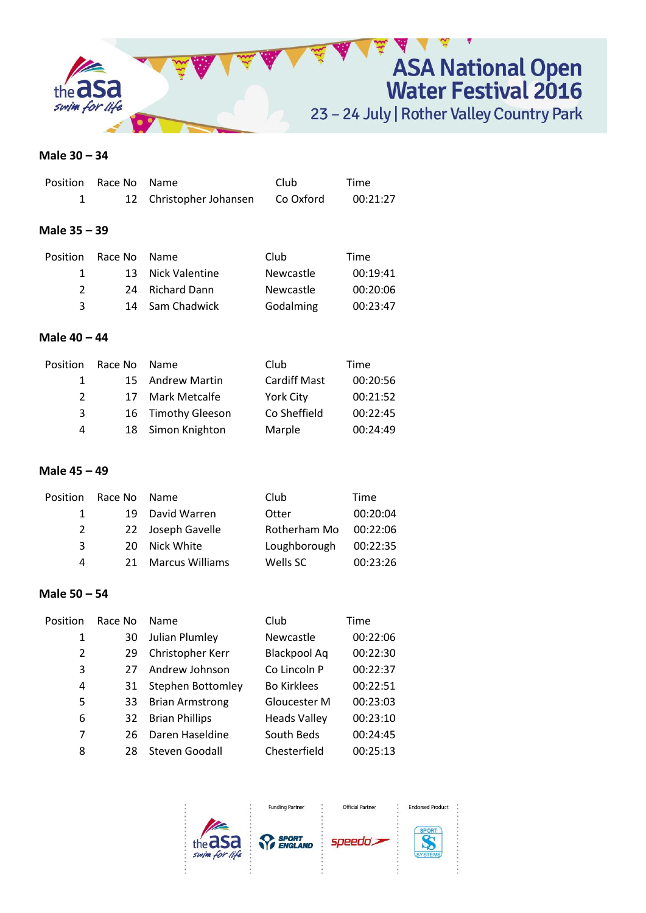

#### **Male 30 – 34**

| Position       | Race No | Name                 | Club      | Time     |
|----------------|---------|----------------------|-----------|----------|
| 1              | 12      | Christopher Johansen | Co Oxford | 00:21:27 |
|                |         |                      |           |          |
| Male 35 – 39   |         |                      |           |          |
| Position       | Race No | <b>Name</b>          | Club      | Time     |
|                |         |                      |           |          |
| 1              | 13      | Nick Valentine       | Newcastle | 00:19:41 |
| $\overline{2}$ | 24      | <b>Richard Dann</b>  | Newcastle | 00:20:06 |
| 3              | 14      | Sam Chadwick         | Godalming | 00:23:47 |
|                |         |                      |           |          |
| Male 40 - 44   |         |                      |           |          |
| Position       | Race No | Name                 | Club      | Time     |

|    |               |                                                             | .        |
|----|---------------|-------------------------------------------------------------|----------|
|    |               | Cardiff Mast                                                | 00:20:56 |
| 17 | Mark Metcalfe | <b>York City</b>                                            | 00:21:52 |
|    |               | Co Sheffield                                                | 00:22:45 |
|    |               | Marple                                                      | 00:24:49 |
|    | .             | 15 Andrew Martin<br>16 Timothy Gleeson<br>18 Simon Knighton | ----     |

# **Male 45 – 49**

| Position | Race No | <b>Name</b>            | Club         | Time     |
|----------|---------|------------------------|--------------|----------|
| 1        | 19      | David Warren           | Otter        | 00:20:04 |
| 2        |         | 22 Joseph Gavelle      | Rotherham Mo | 00:22:06 |
| 3        | 20 I    | Nick White             | Loughborough | 00:22:35 |
| 4        | 21.     | <b>Marcus Williams</b> | Wells SC     | 00:23:26 |
|          |         |                        |              |          |

#### **Male 50 – 54**

| Position | Race No | <b>Name</b>            | Club                | Time     |
|----------|---------|------------------------|---------------------|----------|
| 1        | 30      | Julian Plumley         | Newcastle           | 00:22:06 |
| 2        | 29      | Christopher Kerr       | <b>Blackpool Aq</b> | 00:22:30 |
| 3        | 27      | Andrew Johnson         | Co Lincoln P        | 00:22:37 |
| 4        | 31      | Stephen Bottomley      | <b>Bo Kirklees</b>  | 00:22:51 |
| 5        | 33      | <b>Brian Armstrong</b> | Gloucester M        | 00:23:03 |
| 6        | 32      | <b>Brian Phillips</b>  | <b>Heads Valley</b> | 00:23:10 |
| 7        | 26      | Daren Haseldine        | South Beds          | 00:24:45 |
| 8        | 28      | Steven Goodall         | Chesterfield        | 00:25:13 |